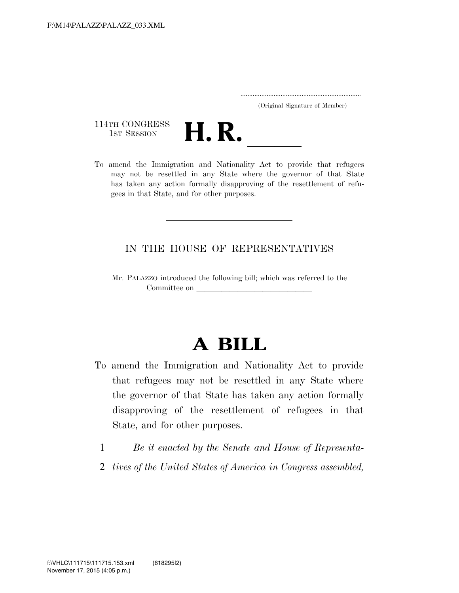..................................................................... (Original Signature of Member)

114TH CONGRESS<br>1st Session



114TH CONGRESS<br>1st SESSION **H. R.** <u>Information</u><br>To amend the Immigration and Nationality Act to provide that refugees may not be resettled in any State where the governor of that State has taken any action formally disapproving of the resettlement of refugees in that State, and for other purposes.

## IN THE HOUSE OF REPRESENTATIVES

Mr. PALAZZO introduced the following bill; which was referred to the Committee on

## **A BILL**

- To amend the Immigration and Nationality Act to provide that refugees may not be resettled in any State where the governor of that State has taken any action formally disapproving of the resettlement of refugees in that State, and for other purposes.
	- 1 *Be it enacted by the Senate and House of Representa-*
	- 2 *tives of the United States of America in Congress assembled,*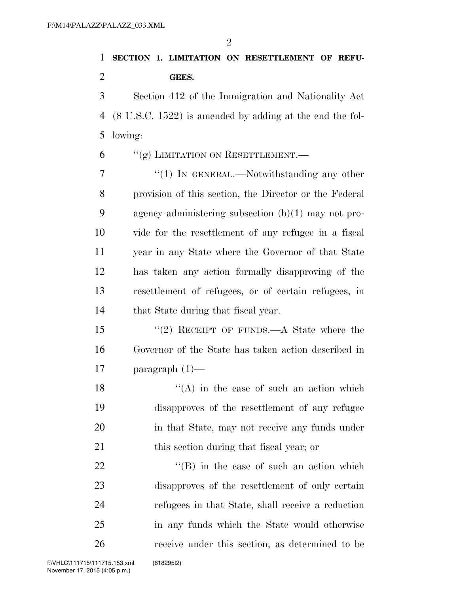$\mathfrak{D}$ 

## **SECTION 1. LIMITATION ON RESETTLEMENT OF REFU-GEES.**

 Section 412 of the Immigration and Nationality Act (8 U.S.C. 1522) is amended by adding at the end the fol-lowing:

''(g) LIMITATION ON RESETTLEMENT.—

7 "(1) In GENERAL.—Notwithstanding any other provision of this section, the Director or the Federal agency administering subsection (b)(1) may not pro- vide for the resettlement of any refugee in a fiscal year in any State where the Governor of that State has taken any action formally disapproving of the resettlement of refugees, or of certain refugees, in 14 that State during that fiscal year.

 ''(2) RECEIPT OF FUNDS.—A State where the Governor of the State has taken action described in paragraph (1)—

 $"({\rm A})$  in the case of such an action which disapproves of the resettlement of any refugee in that State, may not receive any funds under 21 this section during that fiscal year; or

22 ''(B) in the case of such an action which disapproves of the resettlement of only certain refugees in that State, shall receive a reduction in any funds which the State would otherwise receive under this section, as determined to be